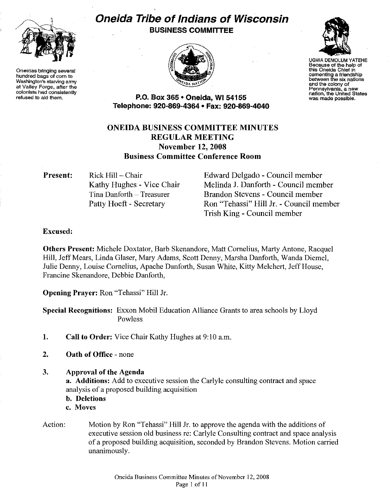

Oneidas bringing several hundred bags of corn to Washington's starving army at Valley Forge, after the colonists had consistently refused to aid them.

# Oneida Tribe of Indians of Wisconsin BUSINESS COMMITTEE





UGWA DEMOLUM YATEHE Because of the help of this Oneida Chief in cementing a friendship between the six nations and the colony of<br>Pennsylvania, a new Pennsylvania, a new nation, the United States was made possible.

P.O. Box 365 · Oneida, WI 54155 Telephone: 920-869-4364 • Fax: 920-869-4040

# ONEIDA BUSINESS COMMITTEE MINUTES REGULAR MEETING November 12, 2008 Business Committee Conference Room

Present:

Rick Hill - Chair Kathy Hughes - Vice Chair Tina Danforth- Treasurer Patty Hoeft - Secretary

Edward Delgado - Council member Melinda J. Danforth- Council member Brandon Stevens - Council member Ron "Tehassi" Hill Jr.- Council member Trish King - Council member

## Excused:

Others Present: Michele Doxtator, Barb Skenandore, Matt Cornelius, Marty Antone, Racquel Hill, Jeff Mears, Linda Glaser, Mary Adams, Scott Denny, Marsha Danforth, Wanda Diemel, Julie Denny, Louise Cornelius, Apache Danforth, Susan White, Kitty Melchert, Jeff House, Francine Skenandore, Debbie Danforth,

Opening Prayer: Ron "Tehassi" Hill Jr.

Special Recognitions: Exxon Mobil Education Alliance Grants to area schools by Lloyd Powless

- 1. Call to Order: Vice Chair Kathy Hughes at 9:10 a.m.
- 2. Oath of Office none
- 3. Approval of the Agenda

a. Additions: Add to executive session the Carlyle consulting contract and space analysis of a proposed building acquisition

- b. Deletions
- c. Moves
- Action: Motion by Ron "Tehassi" Hill Jr. to approve the agenda with the additions of executive session old business re: Carlyle Consulting contract and space analysis of a proposed building acquisition, seconded by Brandon Stevens. Motion carried unanimously.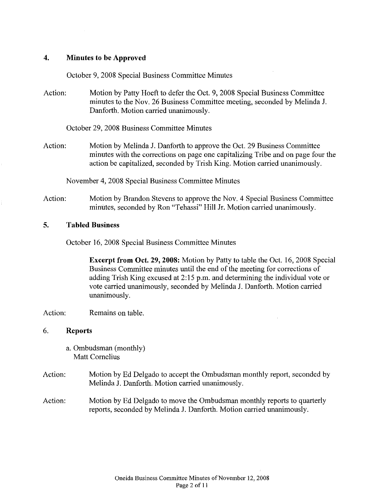# **4. Minutes to be Approved**

October 9, 2008 Special Business Committee Minutes

Action: Motion by Patty Hoeft to defer the Oct. 9, 2008 Special Business Committee minutes to the Nov. 26 Business Committee meeting, seconded by Melinda J. Danforth. Motion carried unanimously.

October 29,2008 Business Committee Minutes

Action: Motion by Melinda J. Danforth to approve the Oct. 29 Business Committee minutes with the corrections on page one capitalizing Tribe and on page four the action be capitalized, seconded by Trish King. Motion carried unanimously.

November 4, 2008 Special Business Committee Minutes

Action: Motion by Brandon Stevens to approve the Nov. 4 Special Business Committee minutes, seconded by Ron "Tehassi" Hill Jr. Motion carried unanimously.

## **S. Tabled Business**

October 16, 2008 Special Business Committee Minutes

**Excerpt from Oct.** 29, **2008:** Motion by Patty to table the Oct. 16, 2008 Special Business Committee minutes until the end of the meeting for corrections of adding Trish King excused at 2:15 p.m. and determining the individual vote or vote carried unanimously, seconded by Melinda J. Danforth. Motion carried unanimously.

## Action: Remains on table.

#### 6. **Reports**

a. Ombudsman (monthly) Matt Cornelius

- Action: Motion by Ed Delgado to accept the Ombudsman monthly report, seconded by Melinda J. Danforth. Motion carried unanimously.
- Action: Motion by Ed Delgado to move the Ombudsman monthly reports to quarterly reports, seconded by Melinda J. Danforth. Motion carried unanimously.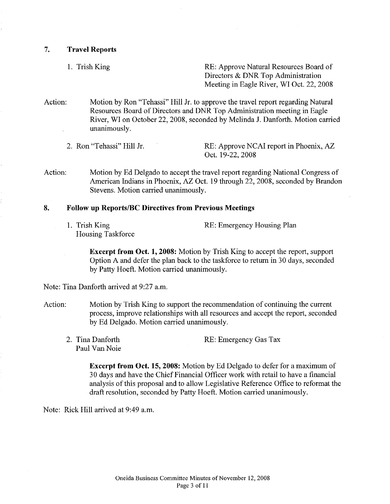7. **Travel Reports** 

1. Trish King RE: Approve Natural Resources Board of Directors & DNR Top Administration Meeting in Eagle River, WI Oct. 22, 2008

Action: Motion by Ron "Tehassi" Hill Jr. to approve the travel report regarding Natural Resources Board of Directors and DNR Top Administration meeting in Eagle River, WI on October 22, 2008, seconded by Melinda J. Danforth. Motion carried unanimously.

2. Ron "Tehassi" Hill Jr. RE: Approve NCAI report in Phoenix, AZ Oct. 19-22, 2008

Action: Motion by Ed Delgado to accept the travel report regarding National Congress of American Indians in Phoenix, AZ Oct. 19 through 22, 2008, seconded by Brandon Stevens. Motion carried unanimously.

### **8. Follow up Reports/Be Directives from Previous Meetings**

1. Trish King Housing Taskforce RE: Emergency Housing Plan

**Excerpt from Oct. 1, 2008:** Motion by Trish King to accept the report, support Option A and defer the plan back to the taskforce to return in 30 days, seconded by Patty Hoeft. Motion carried unanimously.

Note: Tina Danforth arrived at 9:27 a.m.

- Action: Motion by Trish King to support the recommendation of continuing the current process, improve relationships with all resources and accept the report, seconded by Ed Delgado. Motion carried unanimously.
	- 2. Tina Danforth Paul Van Noie

RE: Emergency Gas Tax

**Excerpt from Oct. 15, 2008:** Motion by Ed Delgado to defer for a maximum of 30 days and have the Chief Financial Officer work with retail to have a financial analysis ofthis proposal and to allow Legislative Reference Office to reformat the draft resolution, seconded by Patty Hoeft. Motion carried unanimously.

Note: Rick Hill arrived at 9:49 a.m.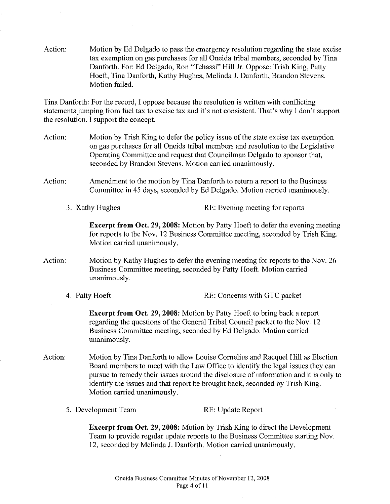Action: Motion by Ed Delgado to pass the emergency resolution regarding the state excise tax exemption on gas purchases for all Oneida tribal members, seconded by Tina Danforth. For: Ed Delgado, Ron "Tehassi" Hill Jr. Oppose: Trish King, Patty Hoeft, Tina Danforth, Kathy Hughes, Melinda J. Danforth, Brandon Stevens. Motion failed.

Tina Danforth: For the record, I oppose because the resolution is written with conflicting statements jumping from fuel tax to excise tax and it's not consistent. That's why I don't support the resolution. I support the concept.

- Action: Motion by Trish King to defer the policy issue of the state excise tax exemption on gas purchases for all Oneida tribal members and resolution to the Legislative Operating Committee and request that Councilman Delgado to sponsor that, seconded by Brandon Stevens. Motion carried unanimously.
- Action: Amendment to the motion by Tina Danforth to return a report to the Business Committee in 45 days, seconded by Ed Delgado. Motion carried unanimously.
	- 3. Kathy Hughes RE: Evening meeting for reports

**Excerpt from Oct.** 29, **2008:** Motion by Patty Hoeft to defer the evening meeting for reports to the Nov. 12 Business Committee meeting, seconded by Trish King. Motion carried unanimously.

- Action: Motion by Kathy Hughes to defer the evening meeting for reports to the Nov. 26 Business Committee meeting, seconded by Patty Hoeft. Motion carried unanimously.
	- 4. Patty Hoeft RE: Concerns with GTC packet

**Excerpt from Oct.** 29, **2008:** Motion by Patty Hoeft to bring back a report regarding the questions of the General Tribal Council packet to the Nov. 12 Business Committee meeting, seconded by Ed Delgado. Motion carried unanimously.

- Action: Motion by Tina Danforth to allow Louise Cornelius and Racquel Hill as Election Board members to meet with the Law Office to identify the legal issues they can pursue to remedy their issues around the disclosure of information and it is only to identify the issues and that report be brought back, seconded by Trish King. Motion carried unanimously.
	- 5. Development Team RE: Update Report

**Excerpt from Oct.** 29, **2008:** Motion by Trish King to direct the Development Team to provide regular update reports to the Business Committee starting Nov. 12, seconded by Melinda J. Danforth. Motion carried unanimously.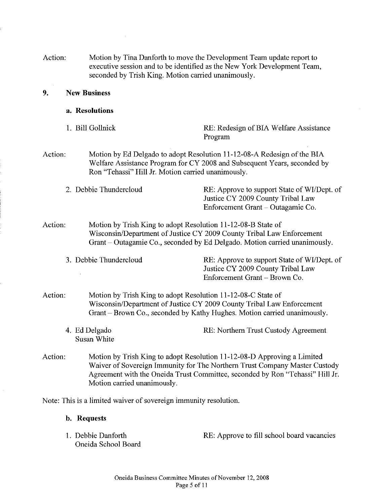| Action: | Motion by Tina Danforth to move the Development Team update report to    |
|---------|--------------------------------------------------------------------------|
|         | executive session and to be identified as the New York Development Team, |
|         | seconded by Trish King. Motion carried unanimously.                      |

#### **9. New Business**

- **a. Resolutions**
- 

1. Bill Gollnick RE: Redesign of BIA Welfare Assistance Program

Action: Motion by Ed Delgado to adopt Resolution 11-12-08-A Redesign of the BIA Welfare Assistance Program for CY 2008 and Subsequent Years, seconded by Ron "Tehassi" Hill Jr. Motion carried unanimously.

2. Debbie Thundercloud RE: Approve to support State of WI/Dept. of Justice CY 2009 County Tribal Law Enforcement Grant- Outagamie Co.

Enforcement Grant- Brown Co.

Action: Motion by Trish King to adopt Resolution 11-12-08-B State of Wisconsin/Department of Justice CY 2009 County Tribal Law Enforcement Grant- Outagamie Co., seconded by Ed Delgado. Motion carried unanimously.

3. Debbie Thundercloud RE: Approve to support State of WI/Dept. of Justice CY 2009 County Tribal Law

Action: Motion by Trish King to adopt Resolution 11-12-08-C State of Wisconsin/Department of Justice CY 2009 County Tribal Law Enforcement Grant- Brown Co., seconded by Kathy Hughes. Motion carried unanimously.

- 4. Ed Delgado Susan White RE: Northern Trust Custody Agreement
- Action: Motion by Trish King to adopt Resolution 11-12-08-D Approving a Limited Waiver of Sovereign Immunity for The Northern Trust Company Master Custody Agreement with the Oneida Trust Committee, seconded by Ron "Tehassi" Hill Jr. Motion carried unanimously.

Note: This is a limited waiver of sovereign immunity resolution.

- **b. Requests**
- 1. Debbie Danforth Oneida School Board

RE: Approve to fill school board vacancies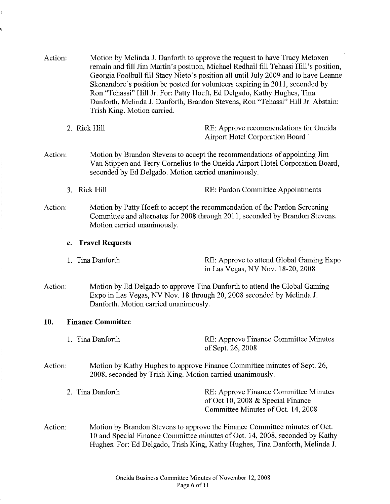Action: Motion by Melinda J. Danforth to approve the request to have Tracy Metoxen remain and fill Jim Martin's position, Michael Redhail fill Tehassi Hill's position, Georgia Foolbull fill Stacy Nieto's position all until July 2009 and to have Leanne Skenandore's position be posted for volunteers expiring in 2011, seconded by Ron "Tehassi" Hill Jr. For: Patty Hoeft, Ed Delgado, Kathy Hughes, Tina Danforth, Melinda J. Danforth, Brandon Stevens, Ron "Tehassi" Hill Jr. Abstain: Trish King. Motion carried.

| 2. Rick Hill | RE: Approve recommendations for Oneida |
|--------------|----------------------------------------|
|              | <b>Airport Hotel Corporation Board</b> |

- Action: Motion by Brandon Stevens to accept the recommendations of appointing Jim Van Stippen and Terry Cornelius to the Oneida Airport Hotel Corporation Board, seconded by Ed Delgado. Motion carried unanimously.
	- 3. Rick Hill RE: Pardon Committee Appointments
- Action: Motion by Patty Hoeft to accept the recommendation of the Pardon Screening Committee and alternates for 2008 through 2011, seconded by Brandon Stevens. Motion carried unanimously.

#### **c. Travel Requests**

I. Tina Danforth RE: Approve to attend Global Gaming Expo in Las Vegas, NV Nov. 18-20, 2008

Action: Motion by Ed Delgado to approve Tina Danforth to attend the Global Gaming Expo in Las Vegas, NV Nov. 18 through 20, 2008 seconded by Melinda J. Danforth. Motion carried unanimously.

#### **10. Finance Committee**

|         | 1. Tina Danforth                                          | RE: Approve Finance Committee Minutes<br>of Sept. 26, 2008               |
|---------|-----------------------------------------------------------|--------------------------------------------------------------------------|
| Action: | 2008, seconded by Trish King. Motion carried unanimously. | Motion by Kathy Hughes to approve Finance Committee minutes of Sept. 26, |

- 2. Tina Danforth RE: Approve Finance Committee Minutes of Oct 10, 2008 & Special Finance Committee Minutes of Oct. 14, 2008
- Action: Motion by Brandon Stevens to approve the Finance Committee minutes of Oct. 10 and Special Finance Committee minutes of Oct. 14, 2008, seconded by Kathy Hughes. For: Ed Delgado, Trish King, Kathy Hughes, Tina Danforth, Melinda J.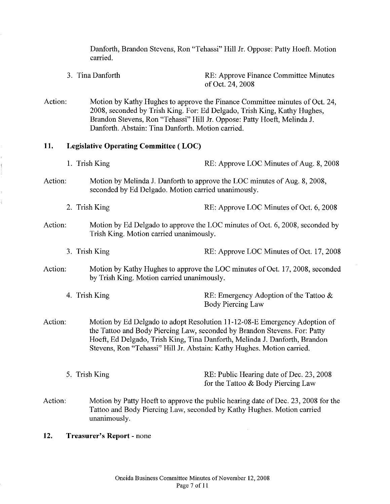Danforth, Brandon Stevens, Ron "Tehassi" Hill Jr. Oppose: Patty Hoeft. Motion carried.

- 3. Tina Danforth RE: Approve Finance Committee Minutes of Oct. 24, 2008
- Action: Motion by Kathy Hughes to approve the Finance Committee minutes of Oct. 24, 2008, seconded by Trish King. For: Ed Delgado, Trish King, Kathy Hughes, Brandon Stevens, Ron "Tehassi" Hill Jr. Oppose: Patty Hoeft, Melinda J. Danforth. Abstain: Tina Danforth. Motion carried.

#### **11. Legislative Operating Committee ( LOC)**

- Action: Action: Action: Action: 1. Trish King **RE:** Approve LOC Minutes of Aug. 8, 2008 Motion by Melinda J. Danforth to approve the LOC minutes of Aug. 8, 2008, seconded by Ed Delgado. Motion carried unanimously. 2. Trish King RE: Approve LOC Minutes of Oct. 6, 2008 Motion by Ed Delgado to approve the LOC minutes of Oct. 6, 2008, seconded by Trish King. Motion carried unanimously. 3. Trish King RE: Approve LOC Minutes of Oct. 17, 2008 Motion by Kathy Hughes to approve the LOC minutes of Oct. 17, 2008, seconded by Trish King. Motion carried unanimously. 4. Trish King **RE:** Emergency Adoption of the Tattoo & Body Piercing Law Motion by Ed Delgado to adopt Resolution 11-12-08-E Emergency Adoption of the Tattoo and Body Piercing Law, seconded by Brandon Stevens. For: Patty Hoeft, Ed Delgado, Trish King, Tina Danforth, Melinda J. Danforth, Brandon Stevens, Ron "Tehassi" Hill Jr. Abstain: Kathy Hughes. Motion carried. 5. Trish King RE: Public Hearing date of Dec. 23, 2008 for the Tattoo & Body Piercing Law Action: Motion by Patty Hoeft to approve the public hearing date of Dec. 23, 2008 for the Tattoo and Body Piercing Law, seconded by Kathy Hughes. Motion carried unanimously.
- **12. Treasurer's Report**  none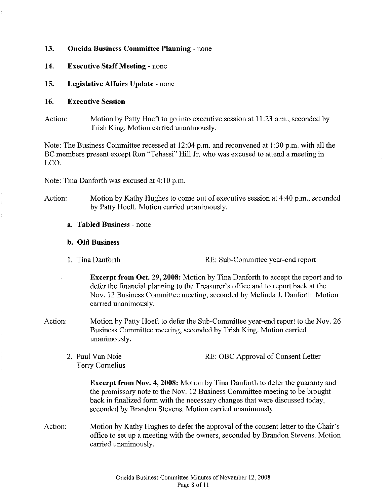#### **13. Oneida Business Committee Planning** - none

- **14. Executive Staff Meeting**  none
- **15. Legislative Affairs Update-** none

#### **16. Executive Session**

Action: Motion by Patty Hoeft to go into executive session at 11:23 a.m., seconded by Trish King. Motion carried unanimously.

Note: The Business Committee recessed at 12:04 p.m. and reconvened at I :30 p.m. with all the BC members present except Ron "Tehassi" Hill Jr. who was excused to attend a meeting in LCO.

Note: Tina Danforth was excused at 4:10 p.m.

Action: Motion by Kathy Hughes to come out of executive session at  $4:40$  p.m., seconded by Patty Hoeft. Motion carried unanimously.

#### **a. Tabled Business** - none

### **b. Old Business**

I. Tina Danforth RE: Sub-Committee year-end report

**Excerpt from Oct. 29, 2008:** Motion by Tina Danforth to accept the report and to defer the financial planning to the Treasurer's office and to report back at the Nov. 12 Business Committee meeting, seconded by Melinda J. Danforth. Motion carried unanimously.

- Action: Motion by Patty Hoeft to defer the Sub-Committee year-end report to the Nov. 26 Business Committee meeting, seconded by Trish King. Motion carried unanimously.
	- 2. Paul Van Noie Terry Cornelius RE: OBC Approval of Consent Letter

**Excerpt from Nov. 4, 2008:** Motion by Tina Danforth to defer the guaranty and the promissory note to the Nov. 12 Business Committee meeting to be brought back in finalized form with the necessary changes that were discussed today, seconded by Brandon Stevens. Motion carried unanimously.

Action: Motion by Kathy Hughes to defer the approval of the consent letter to the Chair's office to set up a meeting with the owners, seconded by Brandon Stevens. Motion carried unanimously.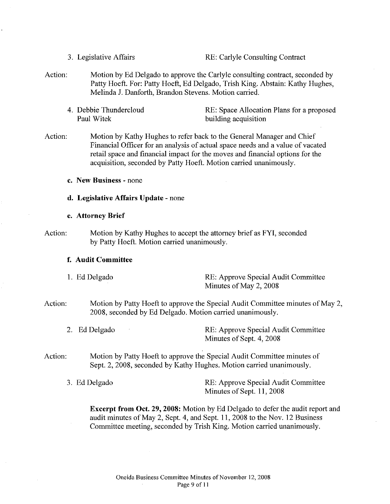3. Legislative Affairs RE: Carlyle Consulting Contract

- Action: Motion by Ed Delgado to approve the Carlyle consulting contract, seconded by Patty Hoeft. For: Patty Hoeft, Ed Delgado, Trish King. Abstain: Kathy Hughes, Melinda J. Danforth, Brandon Stevens. Motion carried.
	- 4. Debbie Thundercloud Paul Witek

RE: Space Allocation Plans for a proposed building acquisition

Action: Motion by Kathy Hughes to refer back to the General Manager and Chief Financial Officer for an analysis of actual space needs and a value of vacated retail space and financial impact for the moves and financial options for the acquisition, seconded by Patty Hoeft. Motion carried unanimously.

**c. New Business-** none

#### **d. Legislative Affairs Update** -none

- **e. Attorney Brief**
- Action: Motion by Kathy Hughes to accept the attorney brief as FYI, seconded by Patty Hoeft. Motion carried unanimously.

#### **f. Audit Committee**

- **1.** Ed Delgado RE: Approve Special Audit Committee Minutes of May 2, 2008
- Action: Motion by Patty Hoeft to approve the Special Audit Committee minutes of May 2, 2008, seconded by Ed Delgado. Motion carried unanimously.
	- 2. Ed Delgado **RE:** Approve Special Audit Committee Minutes of Sept. 4, 2008
- Action: Motion by Patty Hoeft to approve the Special Audit Committee minutes of Sept. 2, 2008, seconded by Kathy Hughes. Motion carried unanimously.
	- 3. Ed Delgado RE: Approve Special Audit Committee Minutes of Sept. **11,** 2008

**Excerpt from Oct. 29, 2008:** Motion by Ed Delgado to defer the audit report and audit minutes of May 2, Sept. 4, and Sept. 11, 2008 to the Nov. 12 Business Committee meeting, seconded by Trish King. Motion carried unanimously.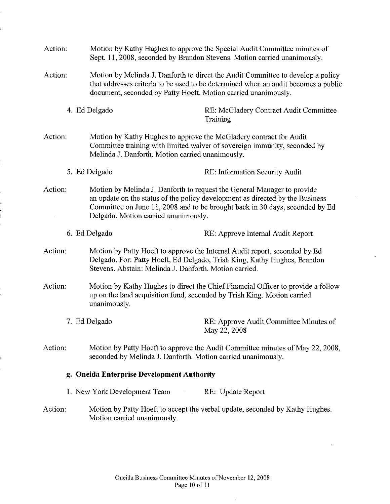| Action:                                    |                              | Motion by Kathy Hughes to approve the Special Audit Committee minutes of<br>Sept. 11, 2008, seconded by Brandon Stevens. Motion carried unanimously.                                                                                                                             |  |  |
|--------------------------------------------|------------------------------|----------------------------------------------------------------------------------------------------------------------------------------------------------------------------------------------------------------------------------------------------------------------------------|--|--|
| Action:                                    |                              | Motion by Melinda J. Danforth to direct the Audit Committee to develop a policy<br>that addresses criteria to be used to be determined when an audit becomes a public<br>document, seconded by Patty Hoeft. Motion carried unanimously.                                          |  |  |
|                                            | 4. Ed Delgado                | RE: McGladery Contract Audit Committee<br>Training                                                                                                                                                                                                                               |  |  |
| Action:                                    |                              | Motion by Kathy Hughes to approve the McGladery contract for Audit<br>Committee training with limited waiver of sovereign immunity, seconded by<br>Melinda J. Danforth. Motion carried unanimously.                                                                              |  |  |
|                                            | 5. Ed Delgado                | RE: Information Security Audit                                                                                                                                                                                                                                                   |  |  |
| Action:                                    |                              | Motion by Melinda J. Danforth to request the General Manager to provide<br>an update on the status of the policy development as directed by the Business<br>Committee on June 11, 2008 and to be brought back in 30 days, seconded by Ed<br>Delgado. Motion carried unanimously. |  |  |
|                                            | 6. Ed Delgado                | RE: Approve Internal Audit Report                                                                                                                                                                                                                                                |  |  |
| Action:                                    |                              | Motion by Patty Hoeft to approve the Internal Audit report, seconded by Ed<br>Delgado. For: Patty Hoeft, Ed Delgado, Trish King, Kathy Hughes, Brandon<br>Stevens. Abstain: Melinda J. Danforth. Motion carried.                                                                 |  |  |
| Action:                                    | unanimously.                 | Motion by Kathy Hughes to direct the Chief Financial Officer to provide a follow<br>up on the land acquisition fund, seconded by Trish King. Motion carried                                                                                                                      |  |  |
|                                            | 7. Ed Delgado                | RE: Approve Audit Committee Minutes of<br>May 22, 2008                                                                                                                                                                                                                           |  |  |
| Action:                                    |                              | Motion by Patty Hoeft to approve the Audit Committee minutes of May 22, 2008,<br>seconded by Melinda J. Danforth. Motion carried unanimously.                                                                                                                                    |  |  |
| g. Oneida Enterprise Development Authority |                              |                                                                                                                                                                                                                                                                                  |  |  |
|                                            | 1. New York Development Team | RE: Update Report                                                                                                                                                                                                                                                                |  |  |
| Action:                                    | Motion carried unanimously.  | Motion by Patty Hoeft to accept the verbal update, seconded by Kathy Hughes.                                                                                                                                                                                                     |  |  |

 $\bar{z}$